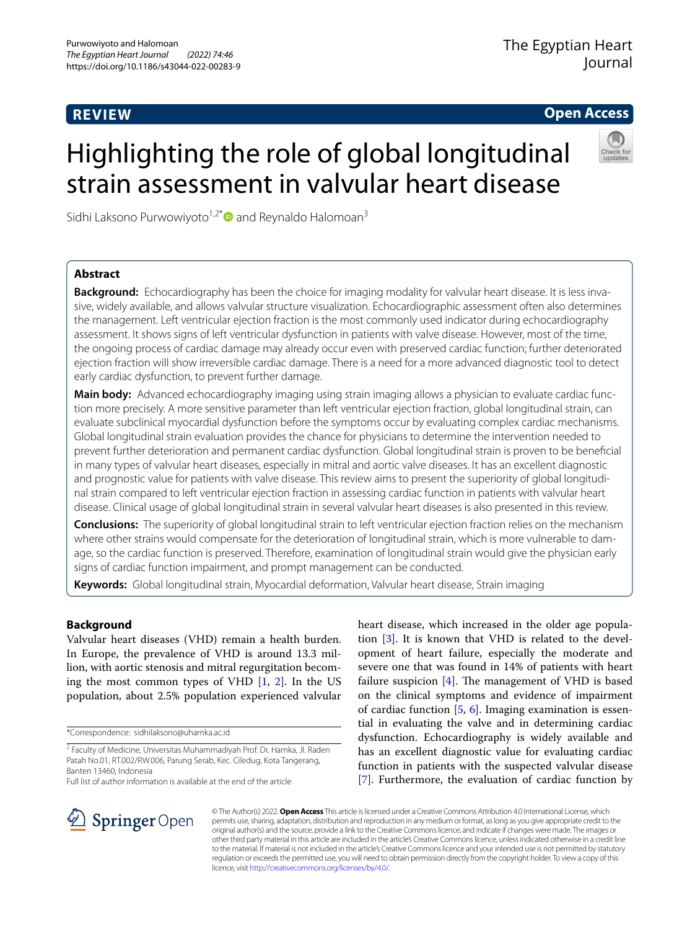# **REVIEW**

**Open Access**

# Highlighting the role of global longitudinal strain assessment in valvular heart disease

Sidhi Laksono Purwowiyoto<sup>1,2\*</sup> and Reynaldo Halomoan<sup>3</sup>

# **Abstract**

**Background:** Echocardiography has been the choice for imaging modality for valvular heart disease. It is less invasive, widely available, and allows valvular structure visualization. Echocardiographic assessment often also determines the management. Left ventricular ejection fraction is the most commonly used indicator during echocardiography assessment. It shows signs of left ventricular dysfunction in patients with valve disease. However, most of the time, the ongoing process of cardiac damage may already occur even with preserved cardiac function; further deteriorated ejection fraction will show irreversible cardiac damage. There is a need for a more advanced diagnostic tool to detect early cardiac dysfunction, to prevent further damage.

**Main body:** Advanced echocardiography imaging using strain imaging allows a physician to evaluate cardiac function more precisely. A more sensitive parameter than left ventricular ejection fraction, global longitudinal strain, can evaluate subclinical myocardial dysfunction before the symptoms occur by evaluating complex cardiac mechanisms. Global longitudinal strain evaluation provides the chance for physicians to determine the intervention needed to prevent further deterioration and permanent cardiac dysfunction. Global longitudinal strain is proven to be benefcial in many types of valvular heart diseases, especially in mitral and aortic valve diseases. It has an excellent diagnostic and prognostic value for patients with valve disease. This review aims to present the superiority of global longitudinal strain compared to left ventricular ejection fraction in assessing cardiac function in patients with valvular heart disease. Clinical usage of global longitudinal strain in several valvular heart diseases is also presented in this review.

**Conclusions:** The superiority of global longitudinal strain to left ventricular ejection fraction relies on the mechanism where other strains would compensate for the deterioration of longitudinal strain, which is more vulnerable to damage, so the cardiac function is preserved. Therefore, examination of longitudinal strain would give the physician early signs of cardiac function impairment, and prompt management can be conducted.

**Keywords:** Global longitudinal strain, Myocardial deformation, Valvular heart disease, Strain imaging

# **Background**

Valvular heart diseases (VHD) remain a health burden. In Europe, the prevalence of VHD is around 13.3 million, with aortic stenosis and mitral regurgitation becoming the most common types of VHD [[1,](#page-5-0) [2\]](#page-5-1). In the US population, about 2.5% population experienced valvular

\*Correspondence: sidhilaksono@uhamka.ac.id

Full list of author information is available at the end of the article

heart disease, which increased in the older age population [\[3](#page-5-2)]. It is known that VHD is related to the development of heart failure, especially the moderate and severe one that was found in 14% of patients with heart failure suspicion  $[4]$  $[4]$ . The management of VHD is based on the clinical symptoms and evidence of impairment of cardiac function  $[5, 6]$  $[5, 6]$  $[5, 6]$ . Imaging examination is essential in evaluating the valve and in determining cardiac dysfunction. Echocardiography is widely available and has an excellent diagnostic value for evaluating cardiac function in patients with the suspected valvular disease [[7\]](#page-6-3). Furthermore, the evaluation of cardiac function by



© The Author(s) 2022. **Open Access** This article is licensed under a Creative Commons Attribution 4.0 International License, which permits use, sharing, adaptation, distribution and reproduction in any medium or format, as long as you give appropriate credit to the original author(s) and the source, provide a link to the Creative Commons licence, and indicate if changes were made. The images or other third party material in this article are included in the article's Creative Commons licence, unless indicated otherwise in a credit line to the material. If material is not included in the article's Creative Commons licence and your intended use is not permitted by statutory regulation or exceeds the permitted use, you will need to obtain permission directly from the copyright holder. To view a copy of this licence, visit [http://creativecommons.org/licenses/by/4.0/.](http://creativecommons.org/licenses/by/4.0/)

<sup>&</sup>lt;sup>2</sup> Faculty of Medicine, Universitas Muhammadiyah Prof. Dr. Hamka, Jl. Raden Patah No.01, RT.002/RW.006, Parung Serab, Kec. Ciledug, Kota Tangerang, Banten 13460, Indonesia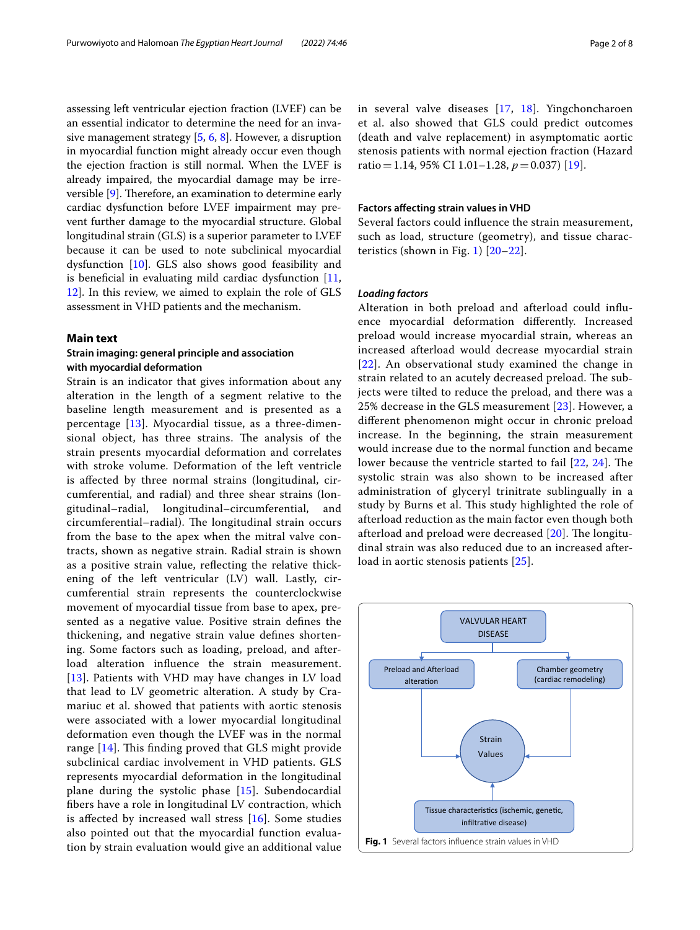assessing left ventricular ejection fraction (LVEF) can be an essential indicator to determine the need for an invasive management strategy [\[5,](#page-6-1) [6,](#page-6-2) [8](#page-6-4)]. However, a disruption in myocardial function might already occur even though the ejection fraction is still normal. When the LVEF is already impaired, the myocardial damage may be irreversible  $[9]$  $[9]$  $[9]$ . Therefore, an examination to determine early cardiac dysfunction before LVEF impairment may prevent further damage to the myocardial structure. Global longitudinal strain (GLS) is a superior parameter to LVEF

because it can be used to note subclinical myocardial dysfunction [\[10\]](#page-6-6). GLS also shows good feasibility and is beneficial in evaluating mild cardiac dysfunction  $[11, 1]$  $[11, 1]$ [12\]](#page-6-8). In this review, we aimed to explain the role of GLS assessment in VHD patients and the mechanism.

# **Main text**

# **Strain imaging: general principle and association with myocardial deformation**

Strain is an indicator that gives information about any alteration in the length of a segment relative to the baseline length measurement and is presented as a percentage [\[13](#page-6-9)]. Myocardial tissue, as a three-dimensional object, has three strains. The analysis of the strain presents myocardial deformation and correlates with stroke volume. Deformation of the left ventricle is afected by three normal strains (longitudinal, circumferential, and radial) and three shear strains (longitudinal–radial, longitudinal–circumferential, and circumferential–radial). The longitudinal strain occurs from the base to the apex when the mitral valve contracts, shown as negative strain. Radial strain is shown as a positive strain value, refecting the relative thickening of the left ventricular (LV) wall. Lastly, circumferential strain represents the counterclockwise movement of myocardial tissue from base to apex, presented as a negative value. Positive strain defnes the thickening, and negative strain value defnes shortening. Some factors such as loading, preload, and afterload alteration infuence the strain measurement. [[13](#page-6-9)]. Patients with VHD may have changes in LV load that lead to LV geometric alteration. A study by Cramariuc et al. showed that patients with aortic stenosis were associated with a lower myocardial longitudinal deformation even though the LVEF was in the normal range  $[14]$  $[14]$ . This finding proved that GLS might provide subclinical cardiac involvement in VHD patients. GLS represents myocardial deformation in the longitudinal plane during the systolic phase [\[15\]](#page-6-11). Subendocardial fbers have a role in longitudinal LV contraction, which is affected by increased wall stress  $[16]$  $[16]$ . Some studies also pointed out that the myocardial function evaluation by strain evaluation would give an additional value in several valve diseases [[17,](#page-6-13) [18](#page-6-14)]. Yingchoncharoen et al. also showed that GLS could predict outcomes (death and valve replacement) in asymptomatic aortic stenosis patients with normal ejection fraction (Hazard ratio=1.14, 95% CI 1.01–1.28, *p*=0.037) [\[19](#page-6-15)].

# **Factors afecting strain values in VHD**

Several factors could infuence the strain measurement, such as load, structure (geometry), and tissue charac-teristics (shown in Fig. [1](#page-1-0))  $[20-22]$  $[20-22]$ .

## *Loading factors*

Alteration in both preload and afterload could infuence myocardial deformation diferently. Increased preload would increase myocardial strain, whereas an increased afterload would decrease myocardial strain [[22](#page-6-17)]. An observational study examined the change in strain related to an acutely decreased preload. The subjects were tilted to reduce the preload, and there was a 25% decrease in the GLS measurement [[23\]](#page-6-18). However, a diferent phenomenon might occur in chronic preload increase. In the beginning, the strain measurement would increase due to the normal function and became lower because the ventricle started to fail [\[22,](#page-6-17) [24](#page-6-19)]. The systolic strain was also shown to be increased after administration of glyceryl trinitrate sublingually in a study by Burns et al. This study highlighted the role of afterload reduction as the main factor even though both afterload and preload were decreased  $[20]$  $[20]$ . The longitudinal strain was also reduced due to an increased afterload in aortic stenosis patients [\[25\]](#page-6-20).

<span id="page-1-0"></span>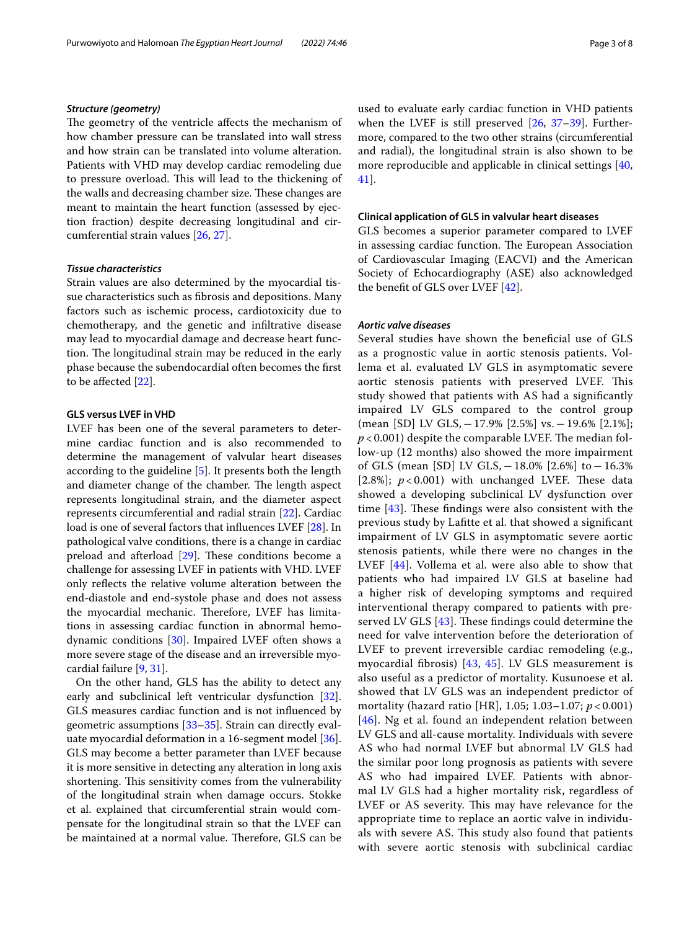# *Structure (geometry)*

The geometry of the ventricle affects the mechanism of how chamber pressure can be translated into wall stress and how strain can be translated into volume alteration. Patients with VHD may develop cardiac remodeling due to pressure overload. This will lead to the thickening of the walls and decreasing chamber size. These changes are meant to maintain the heart function (assessed by ejection fraction) despite decreasing longitudinal and circumferential strain values [\[26](#page-6-21), [27\]](#page-6-22).

## *Tissue characteristics*

Strain values are also determined by the myocardial tissue characteristics such as fbrosis and depositions. Many factors such as ischemic process, cardiotoxicity due to chemotherapy, and the genetic and infltrative disease may lead to myocardial damage and decrease heart function. The longitudinal strain may be reduced in the early phase because the subendocardial often becomes the frst to be afected [\[22\]](#page-6-17).

### **GLS versus LVEF in VHD**

LVEF has been one of the several parameters to determine cardiac function and is also recommended to determine the management of valvular heart diseases according to the guideline [[5\]](#page-6-1). It presents both the length and diameter change of the chamber. The length aspect represents longitudinal strain, and the diameter aspect represents circumferential and radial strain [[22\]](#page-6-17). Cardiac load is one of several factors that infuences LVEF [\[28](#page-6-23)]. In pathological valve conditions, there is a change in cardiac preload and afterload  $[29]$  $[29]$ . These conditions become a challenge for assessing LVEF in patients with VHD. LVEF only refects the relative volume alteration between the end-diastole and end-systole phase and does not assess the myocardial mechanic. Therefore, LVEF has limitations in assessing cardiac function in abnormal hemodynamic conditions [[30\]](#page-6-25). Impaired LVEF often shows a more severe stage of the disease and an irreversible myocardial failure [\[9](#page-6-5), [31\]](#page-6-26).

On the other hand, GLS has the ability to detect any early and subclinical left ventricular dysfunction [\[32](#page-6-27)]. GLS measures cardiac function and is not infuenced by geometric assumptions [\[33](#page-6-28)–[35\]](#page-6-29). Strain can directly evaluate myocardial deformation in a 16-segment model [\[36](#page-6-30)]. GLS may become a better parameter than LVEF because it is more sensitive in detecting any alteration in long axis shortening. This sensitivity comes from the vulnerability of the longitudinal strain when damage occurs. Stokke et al. explained that circumferential strain would compensate for the longitudinal strain so that the LVEF can be maintained at a normal value. Therefore, GLS can be used to evaluate early cardiac function in VHD patients when the LVEF is still preserved [[26,](#page-6-21) [37–](#page-6-31)[39\]](#page-6-32). Furthermore, compared to the two other strains (circumferential and radial), the longitudinal strain is also shown to be more reproducible and applicable in clinical settings [[40](#page-6-33), [41\]](#page-6-34).

## **Clinical application of GLS in valvular heart diseases**

GLS becomes a superior parameter compared to LVEF in assessing cardiac function. The European Association of Cardiovascular Imaging (EACVI) and the American Society of Echocardiography (ASE) also acknowledged the beneft of GLS over LVEF [\[42](#page-6-35)].

# *Aortic valve diseases*

Several studies have shown the benefcial use of GLS as a prognostic value in aortic stenosis patients. Vollema et al. evaluated LV GLS in asymptomatic severe aortic stenosis patients with preserved LVEF. This study showed that patients with AS had a signifcantly impaired LV GLS compared to the control group (mean [SD] LV GLS,−17.9% [2.5%] vs.−19.6% [2.1%];  $p$  < 0.001) despite the comparable LVEF. The median follow-up (12 months) also showed the more impairment of GLS (mean [SD] LV GLS,−18.0% [2.6%] to−16.3% [2.8%];  $p < 0.001$ ) with unchanged LVEF. These data showed a developing subclinical LV dysfunction over time  $[43]$ . These findings were also consistent with the previous study by Laftte et al. that showed a signifcant impairment of LV GLS in asymptomatic severe aortic stenosis patients, while there were no changes in the LVEF [[44](#page-7-0)]. Vollema et al. were also able to show that patients who had impaired LV GLS at baseline had a higher risk of developing symptoms and required interventional therapy compared to patients with preserved LV GLS  $[43]$  $[43]$  $[43]$ . These findings could determine the need for valve intervention before the deterioration of LVEF to prevent irreversible cardiac remodeling (e.g., myocardial fbrosis) [[43,](#page-6-36) [45](#page-7-1)]. LV GLS measurement is also useful as a predictor of mortality. Kusunoese et al. showed that LV GLS was an independent predictor of mortality (hazard ratio [HR], 1.05; 1.03–1.07; *p* < 0.001) [[46](#page-7-2)]. Ng et al. found an independent relation between LV GLS and all-cause mortality. Individuals with severe AS who had normal LVEF but abnormal LV GLS had the similar poor long prognosis as patients with severe AS who had impaired LVEF. Patients with abnormal LV GLS had a higher mortality risk, regardless of LVEF or AS severity. This may have relevance for the appropriate time to replace an aortic valve in individuals with severe AS. This study also found that patients with severe aortic stenosis with subclinical cardiac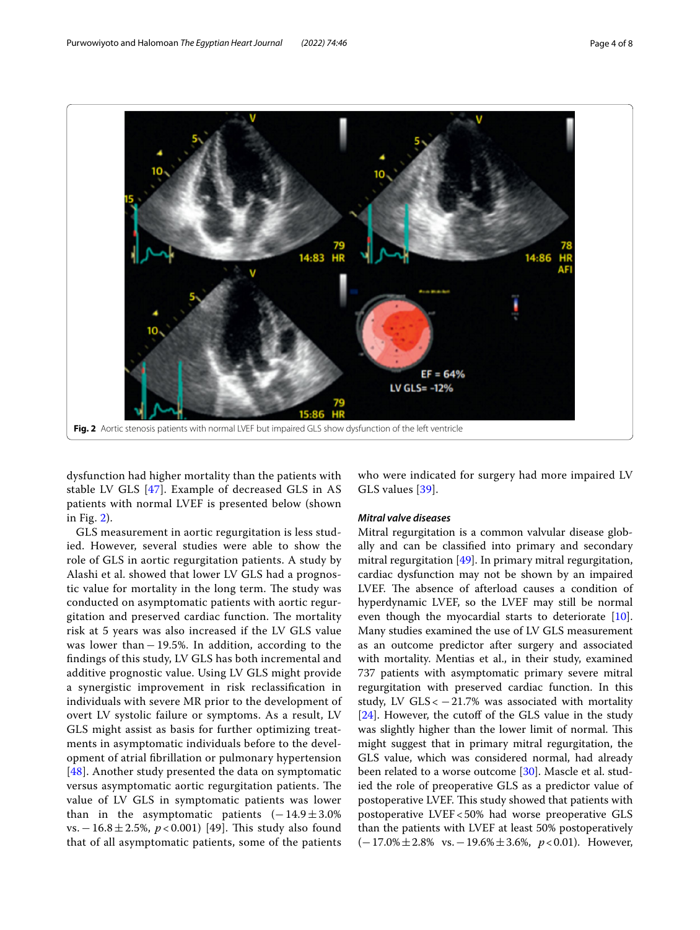

dysfunction had higher mortality than the patients with stable LV GLS [[47](#page-7-3)]. Example of decreased GLS in AS patients with normal LVEF is presented below (shown in Fig. [2](#page-3-0)).

<span id="page-3-0"></span>**Fig. 2** Aortic stenosis patients with normal LVEF but impaired GLS show dysfunction of the left ventricle

GLS measurement in aortic regurgitation is less studied. However, several studies were able to show the role of GLS in aortic regurgitation patients. A study by Alashi et al. showed that lower LV GLS had a prognostic value for mortality in the long term. The study was conducted on asymptomatic patients with aortic regurgitation and preserved cardiac function. The mortality risk at 5 years was also increased if the LV GLS value was lower than−19.5%. In addition, according to the fndings of this study, LV GLS has both incremental and additive prognostic value. Using LV GLS might provide a synergistic improvement in risk reclassifcation in individuals with severe MR prior to the development of overt LV systolic failure or symptoms. As a result, LV GLS might assist as basis for further optimizing treatments in asymptomatic individuals before to the development of atrial fbrillation or pulmonary hypertension [[48](#page-7-4)]. Another study presented the data on symptomatic versus asymptomatic aortic regurgitation patients. The value of LV GLS in symptomatic patients was lower than in the asymptomatic patients  $(-14.9 \pm 3.0\%)$ vs. − 16.8 ± 2.5%, *p* < 0.001) [49]. This study also found that of all asymptomatic patients, some of the patients who were indicated for surgery had more impaired LV GLS values [\[39\]](#page-6-32).

# *Mitral valve diseases*

 $EF = 64%$ 

LV GLS= -12%

Mitral regurgitation is a common valvular disease globally and can be classifed into primary and secondary mitral regurgitation [\[49](#page-7-5)]. In primary mitral regurgitation, cardiac dysfunction may not be shown by an impaired LVEF. The absence of afterload causes a condition of hyperdynamic LVEF, so the LVEF may still be normal even though the myocardial starts to deteriorate [\[10](#page-6-6)]. Many studies examined the use of LV GLS measurement as an outcome predictor after surgery and associated with mortality. Mentias et al., in their study, examined 737 patients with asymptomatic primary severe mitral regurgitation with preserved cardiac function. In this study, LV GLS <  $-21.7%$  was associated with mortality [[24\]](#page-6-19). However, the cutoff of the GLS value in the study was slightly higher than the lower limit of normal. This might suggest that in primary mitral regurgitation, the GLS value, which was considered normal, had already been related to a worse outcome [\[30\]](#page-6-25). Mascle et al. studied the role of preoperative GLS as a predictor value of postoperative LVEF. This study showed that patients with postoperative LVEF<50% had worse preoperative GLS than the patients with LVEF at least 50% postoperatively (−17.0%±2.8% vs.−19.6%±3.6%, *p*<0.01). However,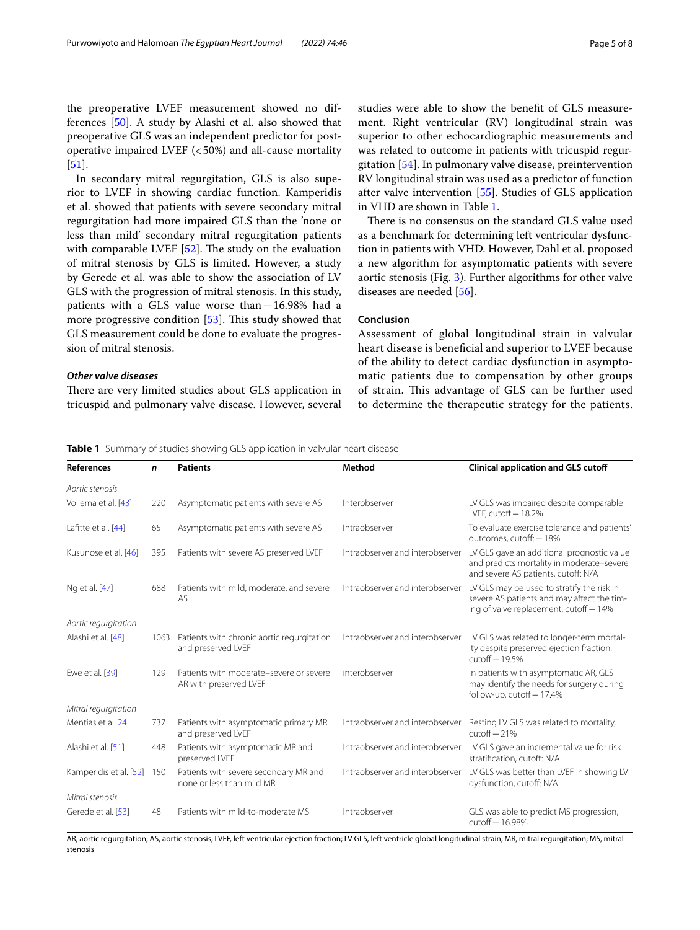the preoperative LVEF measurement showed no differences [\[50](#page-7-6)]. A study by Alashi et al. also showed that preoperative GLS was an independent predictor for postoperative impaired LVEF  $( $50\%$ )$  and all-cause mortality [[51\]](#page-7-7).

In secondary mitral regurgitation, GLS is also superior to LVEF in showing cardiac function. Kamperidis et al. showed that patients with severe secondary mitral regurgitation had more impaired GLS than the 'none or less than mild' secondary mitral regurgitation patients with comparable LVEF  $[52]$ . The study on the evaluation of mitral stenosis by GLS is limited. However, a study by Gerede et al. was able to show the association of LV GLS with the progression of mitral stenosis. In this study, patients with a GLS value worse than−16.98% had a more progressive condition  $[53]$  $[53]$ . This study showed that GLS measurement could be done to evaluate the progression of mitral stenosis.

# *Other valve diseases*

There are very limited studies about GLS application in tricuspid and pulmonary valve disease. However, several studies were able to show the beneft of GLS measurement. Right ventricular (RV) longitudinal strain was superior to other echocardiographic measurements and was related to outcome in patients with tricuspid regurgitation [[54\]](#page-7-10). In pulmonary valve disease, preintervention RV longitudinal strain was used as a predictor of function after valve intervention [\[55](#page-7-11)]. Studies of GLS application in VHD are shown in Table [1.](#page-4-0)

There is no consensus on the standard GLS value used as a benchmark for determining left ventricular dysfunction in patients with VHD. However, Dahl et al. proposed a new algorithm for asymptomatic patients with severe aortic stenosis (Fig. [3](#page-5-3)). Further algorithms for other valve diseases are needed [\[56](#page-7-12)].

# **Conclusion**

Assessment of global longitudinal strain in valvular heart disease is benefcial and superior to LVEF because of the ability to detect cardiac dysfunction in asymptomatic patients due to compensation by other groups of strain. This advantage of GLS can be further used to determine the therapeutic strategy for the patients.

<span id="page-4-0"></span>**Table 1** Summary of studies showing GLS application in valvular heart disease

| <b>References</b>      | n    | <b>Patients</b>                                                    | Method                          | <b>Clinical application and GLS cutoff</b>                                                                                         |
|------------------------|------|--------------------------------------------------------------------|---------------------------------|------------------------------------------------------------------------------------------------------------------------------------|
| Aortic stenosis        |      |                                                                    |                                 |                                                                                                                                    |
| Vollema et al. [43]    | 220  | Asymptomatic patients with severe AS                               | Interobserver                   | LV GLS was impaired despite comparable<br>LVEF. $cutoff - 18.2\%$                                                                  |
| Lafitte et al. [44]    | 65   | Asymptomatic patients with severe AS                               | Intraobserver                   | To evaluate exercise tolerance and patients'<br>outcomes, cutoff: - 18%                                                            |
| Kusunose et al. [46]   | 395  | Patients with severe AS preserved LVEF                             | Intraobserver and interobserver | LV GLS gave an additional prognostic value<br>and predicts mortality in moderate-severe<br>and severe AS patients, cutoff: N/A     |
| Ng et al. [47]         | 688  | Patients with mild, moderate, and severe<br>AS.                    | Intraobserver and interobserver | LV GLS may be used to stratify the risk in<br>severe AS patients and may affect the tim-<br>ing of valve replacement, cutoff - 14% |
| Aortic regurgitation   |      |                                                                    |                                 |                                                                                                                                    |
| Alashi et al. [48]     | 1063 | Patients with chronic aortic regurgitation<br>and preserved LVEF   | Intraobserver and interobserver | LV GLS was related to longer-term mortal-<br>ity despite preserved ejection fraction,<br>$cutoff - 19.5%$                          |
| Ewe et al. [39]        | 129  | Patients with moderate-severe or severe<br>AR with preserved LVEF  | interobserver                   | In patients with asymptomatic AR, GLS<br>may identify the needs for surgery during<br>follow-up, cutoff - 17.4%                    |
| Mitral regurgitation   |      |                                                                    |                                 |                                                                                                                                    |
| Mentias et al. 24      | 737  | Patients with asymptomatic primary MR<br>and preserved LVEF        | Intraobserver and interobserver | Resting LV GLS was related to mortality,<br>$cutoff - 21%$                                                                         |
| Alashi et al. [51]     | 448  | Patients with asymptomatic MR and<br>preserved LVEF                | Intraobserver and interobserver | LV GLS gave an incremental value for risk<br>stratification, cutoff: N/A                                                           |
| Kamperidis et al. [52] | 150  | Patients with severe secondary MR and<br>none or less than mild MR | Intraobserver and interobserver | LV GLS was better than LVEF in showing LV<br>dysfunction, cutoff: N/A                                                              |
| Mitral stenosis        |      |                                                                    |                                 |                                                                                                                                    |
| Gerede et al. [53]     | 48   | Patients with mild-to-moderate MS                                  | Intraobserver                   | GLS was able to predict MS progression,<br>cutoff - 16.98%                                                                         |

AR, aortic regurgitation; AS, aortic stenosis; LVEF, left ventricular ejection fraction; LV GLS, left ventricle global longitudinal strain; MR, mitral regurgitation; MS, mitral stenosis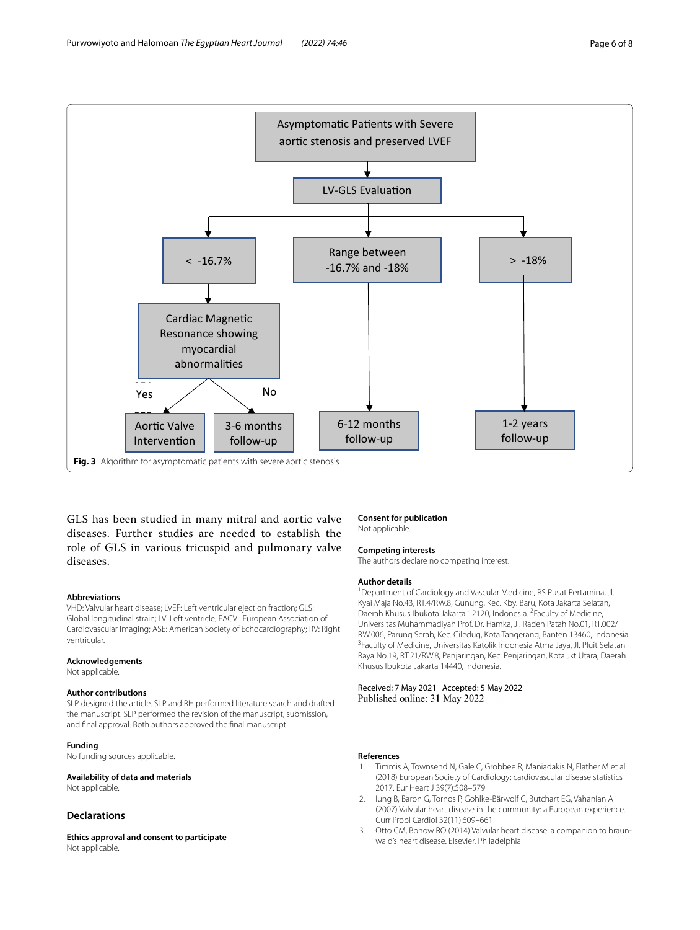

<span id="page-5-3"></span>GLS has been studied in many mitral and aortic valve diseases. Further studies are needed to establish the role of GLS in various tricuspid and pulmonary valve diseases.

#### **Abbreviations**

VHD: Valvular heart disease; LVEF: Left ventricular ejection fraction; GLS: Global longitudinal strain; LV: Left ventricle; EACVI: European Association of Cardiovascular Imaging; ASE: American Society of Echocardiography; RV: Right ventricular.

#### **Acknowledgements**

Not applicable.

## **Author contributions**

SLP designed the article. SLP and RH performed literature search and drafted the manuscript. SLP performed the revision of the manuscript, submission, and fnal approval. Both authors approved the fnal manuscript.

# **Funding**

No funding sources applicable.

**Availability of data and materials** Not applicable.

# **Declarations**

**Ethics approval and consent to participate** Not applicable.

### **Consent for publication**

Not applicable.

### **Competing interests**

The authors declare no competing interest.

#### **Author details**

<sup>1</sup> Department of Cardiology and Vascular Medicine, RS Pusat Pertamina, Jl. Kyai Maja No.43, RT.4/RW.8, Gunung, Kec. Kby. Baru, Kota Jakarta Selatan, Daerah Khusus Ibukota Jakarta 12120, Indonesia. <sup>2</sup> Faculty of Medicine, Universitas Muhammadiyah Prof. Dr. Hamka, Jl. Raden Patah No.01, RT.002/ RW.006, Parung Serab, Kec. Ciledug, Kota Tangerang, Banten 13460, Indonesia. <sup>3</sup> Faculty of Medicine, Universitas Katolik Indonesia Atma Jaya, Jl. Pluit Selatan Raya No.19, RT.21/RW.8, Penjaringan, Kec. Penjaringan, Kota Jkt Utara, Daerah Khusus Ibukota Jakarta 14440, Indonesia.

Received: 7 May 2021 Accepted: 5 May 2022 Published online: 31 May 2022

### **References**

- <span id="page-5-0"></span>1. Timmis A, Townsend N, Gale C, Grobbee R, Maniadakis N, Flather M et al (2018) European Society of Cardiology: cardiovascular disease statistics 2017. Eur Heart J 39(7):508–579
- <span id="page-5-1"></span>2. Iung B, Baron G, Tornos P, Gohlke-Bärwolf C, Butchart EG, Vahanian A (2007) Valvular heart disease in the community: a European experience. Curr Probl Cardiol 32(11):609–661
- <span id="page-5-2"></span>3. Otto CM, Bonow RO (2014) Valvular heart disease: a companion to braunwald's heart disease. Elsevier, Philadelphia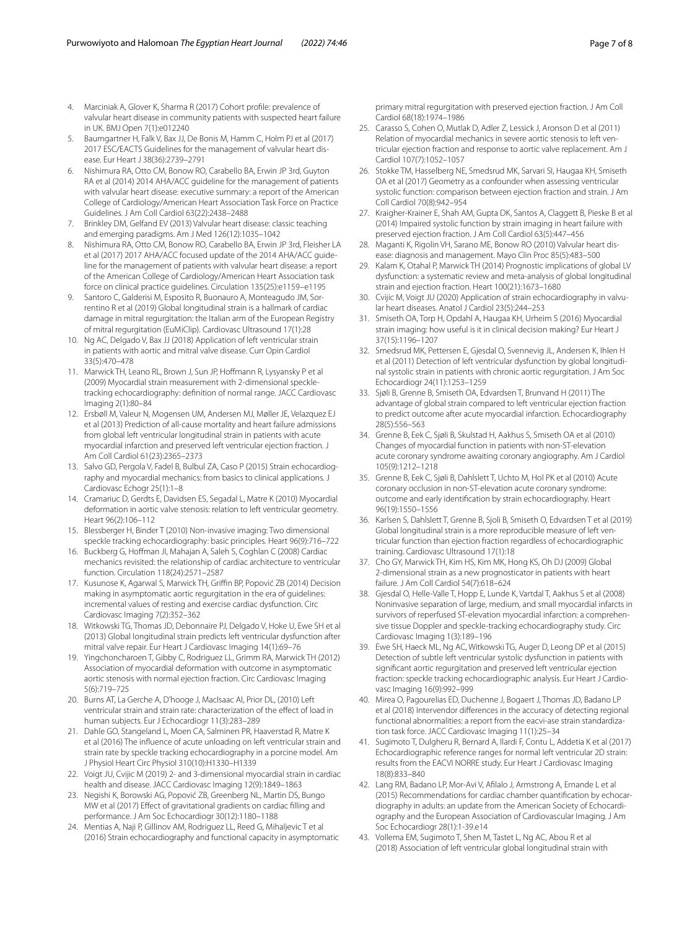- <span id="page-6-0"></span>4. Marciniak A, Glover K, Sharma R (2017) Cohort profle: prevalence of valvular heart disease in community patients with suspected heart failure in UK. BMJ Open 7(1):e012240
- <span id="page-6-1"></span>5. Baumgartner H, Falk V, Bax JJ, De Bonis M, Hamm C, Holm PJ et al (2017) 2017 ESC/EACTS Guidelines for the management of valvular heart disease. Eur Heart J 38(36):2739–2791
- <span id="page-6-2"></span>6. Nishimura RA, Otto CM, Bonow RO, Carabello BA, Erwin JP 3rd, Guyton RA et al (2014) 2014 AHA/ACC guideline for the management of patients with valvular heart disease: executive summary: a report of the American College of Cardiology/American Heart Association Task Force on Practice Guidelines. J Am Coll Cardiol 63(22):2438–2488
- <span id="page-6-3"></span>7. Brinkley DM, Gelfand EV (2013) Valvular heart disease: classic teaching and emerging paradigms. Am J Med 126(12):1035–1042
- <span id="page-6-4"></span>8. Nishimura RA, Otto CM, Bonow RO, Carabello BA, Erwin JP 3rd, Fleisher LA et al (2017) 2017 AHA/ACC focused update of the 2014 AHA/ACC guideline for the management of patients with valvular heart disease: a report of the American College of Cardiology/American Heart Association task force on clinical practice guidelines. Circulation 135(25):e1159–e1195
- <span id="page-6-5"></span>Santoro C, Galderisi M, Esposito R, Buonauro A, Monteagudo JM, Sorrentino R et al (2019) Global longitudinal strain is a hallmark of cardiac damage in mitral regurgitation: the Italian arm of the European Registry of mitral regurgitation (EuMiClip). Cardiovasc Ultrasound 17(1):28
- <span id="page-6-6"></span>10. Ng AC, Delgado V, Bax JJ (2018) Application of left ventricular strain in patients with aortic and mitral valve disease. Curr Opin Cardiol 33(5):470–478
- <span id="page-6-7"></span>11. Marwick TH, Leano RL, Brown J, Sun JP, Hofmann R, Lysyansky P et al (2009) Myocardial strain measurement with 2-dimensional speckletracking echocardiography: defnition of normal range. JACC Cardiovasc Imaging 2(1):80–84
- <span id="page-6-8"></span>12. Ersbøll M, Valeur N, Mogensen UM, Andersen MJ, Møller JE, Velazquez EJ et al (2013) Prediction of all-cause mortality and heart failure admissions from global left ventricular longitudinal strain in patients with acute myocardial infarction and preserved left ventricular ejection fraction. J Am Coll Cardiol 61(23):2365–2373
- <span id="page-6-9"></span>13. Salvo GD, Pergola V, Fadel B, Bulbul ZA, Caso P (2015) Strain echocardiography and myocardial mechanics: from basics to clinical applications. J Cardiovasc Echogr 25(1):1–8
- <span id="page-6-10"></span>14. Cramariuc D, Gerdts E, Davidsen ES, Segadal L, Matre K (2010) Myocardial deformation in aortic valve stenosis: relation to left ventricular geometry. Heart 96(2):106–112
- <span id="page-6-11"></span>15. Blessberger H, Binder T (2010) Non-invasive imaging: Two dimensional speckle tracking echocardiography: basic principles. Heart 96(9):716–722
- <span id="page-6-12"></span>16. Buckberg G, Hofman JI, Mahajan A, Saleh S, Coghlan C (2008) Cardiac mechanics revisited: the relationship of cardiac architecture to ventricular function. Circulation 118(24):2571–2587
- <span id="page-6-13"></span>17. Kusunose K, Agarwal S, Marwick TH, Griffin BP, Popović ZB (2014) Decision making in asymptomatic aortic regurgitation in the era of guidelines: incremental values of resting and exercise cardiac dysfunction. Circ Cardiovasc Imaging 7(2):352–362
- <span id="page-6-14"></span>18. Witkowski TG, Thomas JD, Debonnaire PJ, Delgado V, Hoke U, Ewe SH et al (2013) Global longitudinal strain predicts left ventricular dysfunction after mitral valve repair. Eur Heart J Cardiovasc Imaging 14(1):69–76
- <span id="page-6-15"></span>19. Yingchoncharoen T, Gibby C, Rodriguez LL, Grimm RA, Marwick TH (2012) Association of myocardial deformation with outcome in asymptomatic aortic stenosis with normal ejection fraction. Circ Cardiovasc Imaging 5(6):719–725
- <span id="page-6-16"></span>20. Burns AT, La Gerche A, D'hooge J, MacIsaac AI, Prior DL, (2010) Left ventricular strain and strain rate: characterization of the efect of load in human subjects. Eur J Echocardiogr 11(3):283–289
- 21. Dahle GO, Stangeland L, Moen CA, Salminen PR, Haaverstad R, Matre K et al (2016) The infuence of acute unloading on left ventricular strain and strain rate by speckle tracking echocardiography in a porcine model. Am J Physiol Heart Circ Physiol 310(10):H1330–H1339
- <span id="page-6-17"></span>22. Voigt JU, Cvijic M (2019) 2- and 3-dimensional myocardial strain in cardiac health and disease. JACC Cardiovasc Imaging 12(9):1849–1863
- <span id="page-6-18"></span>23. Negishi K, Borowski AG, Popović ZB, Greenberg NL, Martin DS, Bungo MW et al (2017) Efect of gravitational gradients on cardiac flling and performance. J Am Soc Echocardiogr 30(12):1180–1188
- <span id="page-6-19"></span>24. Mentias A, Naji P, Gillinov AM, Rodriguez LL, Reed G, Mihaljevic T et al (2016) Strain echocardiography and functional capacity in asymptomatic

primary mitral regurgitation with preserved ejection fraction. J Am Coll Cardiol 68(18):1974–1986

- <span id="page-6-20"></span>25. Carasso S, Cohen O, Mutlak D, Adler Z, Lessick J, Aronson D et al (2011) Relation of myocardial mechanics in severe aortic stenosis to left ventricular ejection fraction and response to aortic valve replacement. Am J Cardiol 107(7):1052–1057
- <span id="page-6-21"></span>26. Stokke TM, Hasselberg NE, Smedsrud MK, Sarvari SI, Haugaa KH, Smiseth OA et al (2017) Geometry as a confounder when assessing ventricular systolic function: comparison between ejection fraction and strain. J Am Coll Cardiol 70(8):942–954
- <span id="page-6-22"></span>27. Kraigher-Krainer E, Shah AM, Gupta DK, Santos A, Claggett B, Pieske B et al (2014) Impaired systolic function by strain imaging in heart failure with preserved ejection fraction. J Am Coll Cardiol 63(5):447–456
- <span id="page-6-23"></span>28. Maganti K, Rigolin VH, Sarano ME, Bonow RO (2010) Valvular heart disease: diagnosis and management. Mayo Clin Proc 85(5):483–500
- <span id="page-6-24"></span>29. Kalam K, Otahal P, Marwick TH (2014) Prognostic implications of global LV dysfunction: a systematic review and meta-analysis of global longitudinal strain and ejection fraction. Heart 100(21):1673–1680
- <span id="page-6-25"></span>30. Cvijic M, Voigt JU (2020) Application of strain echocardiography in valvular heart diseases. Anatol J Cardiol 23(5):244–253
- <span id="page-6-26"></span>31. Smiseth OA, Torp H, Opdahl A, Haugaa KH, Urheim S (2016) Myocardial strain imaging: how useful is it in clinical decision making? Eur Heart J 37(15):1196–1207
- <span id="page-6-27"></span>32. Smedsrud MK, Pettersen E, Gjesdal O, Svennevig JL, Andersen K, Ihlen H et al (2011) Detection of left ventricular dysfunction by global longitudinal systolic strain in patients with chronic aortic regurgitation. J Am Soc Echocardiogr 24(11):1253–1259
- <span id="page-6-28"></span>33. Sjøli B, Grenne B, Smiseth OA, Edvardsen T, Brunvand H (2011) The advantage of global strain compared to left ventricular ejection fraction to predict outcome after acute myocardial infarction. Echocardiography 28(5):556–563
- 34. Grenne B, Eek C, Sjøli B, Skulstad H, Aakhus S, Smiseth OA et al (2010) Changes of myocardial function in patients with non-ST-elevation acute coronary syndrome awaiting coronary angiography. Am J Cardiol 105(9):1212–1218
- <span id="page-6-29"></span>35. Grenne B, Eek C, Sjøli B, Dahlslett T, Uchto M, Hol PK et al (2010) Acute coronary occlusion in non-ST-elevation acute coronary syndrome: outcome and early identifcation by strain echocardiography. Heart 96(19):1550–1556
- <span id="page-6-30"></span>36. Karlsen S, Dahlslett T, Grenne B, Sjoli B, Smiseth O, Edvardsen T et al (2019) Global longitudinal strain is a more reproducible measure of left ventricular function than ejection fraction regardless of echocardiographic training. Cardiovasc Ultrasound 17(1):18
- <span id="page-6-31"></span>37. Cho GY, Marwick TH, Kim HS, Kim MK, Hong KS, Oh DJ (2009) Global 2-dimensional strain as a new prognosticator in patients with heart failure. J Am Coll Cardiol 54(7):618–624
- 38. Gjesdal O, Helle-Valle T, Hopp E, Lunde K, Vartdal T, Aakhus S et al (2008) Noninvasive separation of large, medium, and small myocardial infarcts in survivors of reperfused ST-elevation myocardial infarction: a comprehensive tissue Doppler and speckle-tracking echocardiography study. Circ Cardiovasc Imaging 1(3):189–196
- <span id="page-6-32"></span>39. Ewe SH, Haeck ML, Ng AC, Witkowski TG, Auger D, Leong DP et al (2015) Detection of subtle left ventricular systolic dysfunction in patients with signifcant aortic regurgitation and preserved left ventricular ejection fraction: speckle tracking echocardiographic analysis. Eur Heart J Cardiovasc Imaging 16(9):992–999
- <span id="page-6-33"></span>40. Mirea O, Pagourelias ED, Duchenne J, Bogaert J, Thomas JD, Badano LP et al (2018) Intervendor diferences in the accuracy of detecting regional functional abnormalities: a report from the eacvi-ase strain standardization task force. JACC Cardiovasc Imaging 11(1):25–34
- <span id="page-6-34"></span>41. Sugimoto T, Dulgheru R, Bernard A, Ilardi F, Contu L, Addetia K et al (2017) Echocardiographic reference ranges for normal left ventricular 2D strain: results from the EACVI NORRE study. Eur Heart J Cardiovasc Imaging 18(8):833–840
- <span id="page-6-35"></span>42. Lang RM, Badano LP, Mor-Avi V, Aflalo J, Armstrong A, Ernande L et al (2015) Recommendations for cardiac chamber quantifcation by echocardiography in adults: an update from the American Society of Echocardiography and the European Association of Cardiovascular Imaging. J Am Soc Echocardiogr 28(1):1-39.e14
- <span id="page-6-36"></span>43. Vollema EM, Sugimoto T, Shen M, Tastet L, Ng AC, Abou R et al (2018) Association of left ventricular global longitudinal strain with